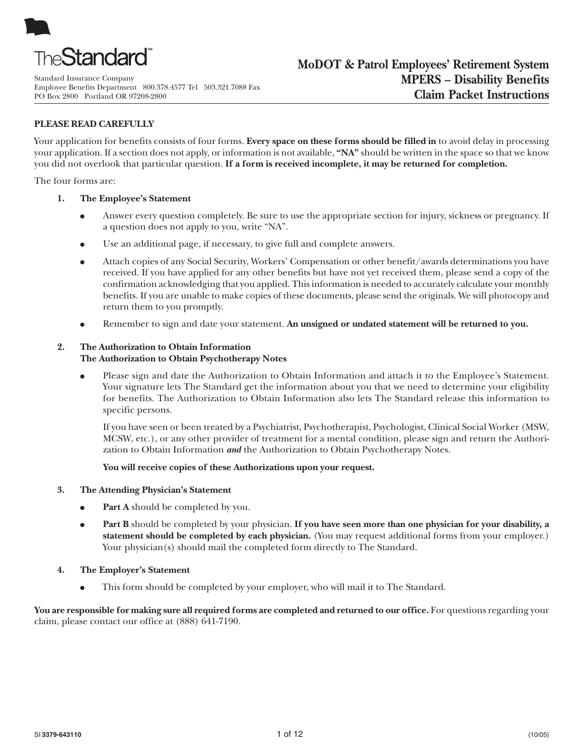

Standard Insurance Company Employee Benefits Department 800.378.4577 Tel 503.321.7088 Fax PO Box 2800 Portland OR 97208-2800

# **PLEASE READ CAREFULLY**

Your application for benefits consists of four forms. **Every space on these forms should be filled in** to avoid delay in processing your application. If a section does not apply, or information is not available, **"NA"** should be written in the space so that we know you did not overlook that particular question. **If a form is received incomplete, it may be returned for completion.**

The four forms are:

- **1. The Employee's Statement**
	- Answer every question completely. Be sure to use the appropriate section for injury, sickness or pregnancy. If a question does not apply to you, write "NA".
	- Use an additional page, if necessary, to give full and complete answers.
	- Attach copies of any Social Security, Workers' Compensation or other benefit/awards determinations you have received. If you have applied for any other benefits but have not yet received them, please send a copy of the confirmation acknowledging that you applied. This information is needed to accurately calculate your monthly benefits. If you are unable to make copies of these documents, please send the originals. We will photocopy and return them to you promptly.
	- Remember to sign and date your statement. An unsigned or undated statement will be returned to you.

## **2. The Authorization to Obtain Information**

## **The Authorization to Obtain Psychotherapy Notes**

● Please sign and date the Authorization to Obtain Information and attach it to the Employee's Statement. Your signature lets The Standard get the information about you that we need to determine your eligibility for benefits. The Authorization to Obtain Information also lets The Standard release this information to specific persons.

If you have seen or been treated by a Psychiatrist, Psychotherapist, Psychologist, Clinical Social Worker (MSW, MCSW, etc.), or any other provider of treatment for a mental condition, please sign and return the Authorization to Obtain Information *and* the Authorization to Obtain Psychotherapy Notes.

**You will receive copies of these Authorizations upon your request.**

## **3. The Attending Physician's Statement**

- **Part A** should be completed by you.
- **• Part B** should be completed by your physician. If you have seen more than one physician for your disability, a **statement should be completed by each physician.** (You may request additional forms from your employer.) Your physician(s) should mail the completed form directly to The Standard.
- **4. The Employer's Statement**
	- This form should be completed by your employer, who will mail it to The Standard.

You are responsible for making sure all required forms are completed and returned to our office. For questions regarding your claim, please contact our office at (888) 641-7190.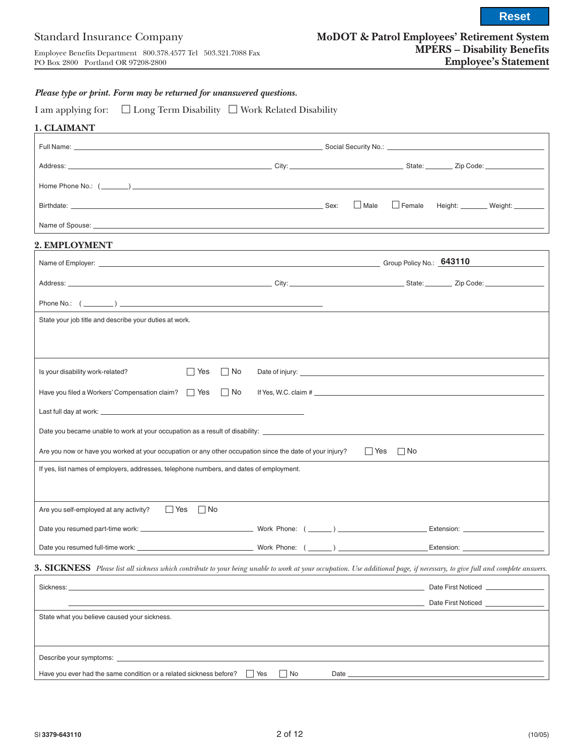**Reset**

## *Please type or print. Form may be returned for unanswered questions.*

| I am applying for: | $\Box$ Long Term Disability $\Box$ Work Related Disability |  |  |  |
|--------------------|------------------------------------------------------------|--|--|--|
|--------------------|------------------------------------------------------------|--|--|--|

| 1. CLAIMANT                                                                                              |                                                                                                                  |                                                                                                                                                                              |
|----------------------------------------------------------------------------------------------------------|------------------------------------------------------------------------------------------------------------------|------------------------------------------------------------------------------------------------------------------------------------------------------------------------------|
|                                                                                                          |                                                                                                                  |                                                                                                                                                                              |
|                                                                                                          |                                                                                                                  |                                                                                                                                                                              |
|                                                                                                          |                                                                                                                  |                                                                                                                                                                              |
|                                                                                                          |                                                                                                                  | $\Box$ Male<br>Female Height: Weight: _________                                                                                                                              |
|                                                                                                          |                                                                                                                  |                                                                                                                                                                              |
| 2. EMPLOYMENT                                                                                            |                                                                                                                  |                                                                                                                                                                              |
|                                                                                                          |                                                                                                                  |                                                                                                                                                                              |
|                                                                                                          |                                                                                                                  |                                                                                                                                                                              |
|                                                                                                          |                                                                                                                  | <u>and the state of the state of the state of the state of the state of the state of the state of the state of th</u>                                                        |
| State your job title and describe your duties at work.                                                   |                                                                                                                  |                                                                                                                                                                              |
|                                                                                                          |                                                                                                                  |                                                                                                                                                                              |
|                                                                                                          |                                                                                                                  |                                                                                                                                                                              |
| Is your disability work-related?<br>$\Box$ Yes                                                           | $\Box$ No                                                                                                        |                                                                                                                                                                              |
| Have you filed a Workers' Compensation claim?<br><u> </u> Yes<br><br><u> </u> No                         |                                                                                                                  |                                                                                                                                                                              |
|                                                                                                          |                                                                                                                  |                                                                                                                                                                              |
|                                                                                                          |                                                                                                                  |                                                                                                                                                                              |
| Are you now or have you worked at your occupation or any other occupation since the date of your injury? |                                                                                                                  | $\Box$ Yes $\Box$ No                                                                                                                                                         |
| If yes, list names of employers, addresses, telephone numbers, and dates of employment.                  |                                                                                                                  |                                                                                                                                                                              |
|                                                                                                          |                                                                                                                  |                                                                                                                                                                              |
| $\Box$ Yes $\Box$ No<br>Are you self-employed at any activity?                                           |                                                                                                                  |                                                                                                                                                                              |
|                                                                                                          |                                                                                                                  |                                                                                                                                                                              |
| Date you resumed full-time work: _                                                                       | Work Phone: $(\_\_)$                                                                                             | Extension:                                                                                                                                                                   |
|                                                                                                          |                                                                                                                  |                                                                                                                                                                              |
|                                                                                                          |                                                                                                                  | 3. SICKNESS Please list all sickness which contribute to your being unable to work at your occupation. Use additional page, if necessary, to give full and complete answers. |
| Sickness:                                                                                                | and the control of the control of the control of the control of the control of the control of the control of the | Date First Noticed                                                                                                                                                           |
| State what you believe caused your sickness.                                                             |                                                                                                                  | Date First Noticed                                                                                                                                                           |
|                                                                                                          |                                                                                                                  |                                                                                                                                                                              |
|                                                                                                          |                                                                                                                  |                                                                                                                                                                              |

Have you ever had the same condition or a related sickness before?  $\Box$  Yes  $\Box$  No Date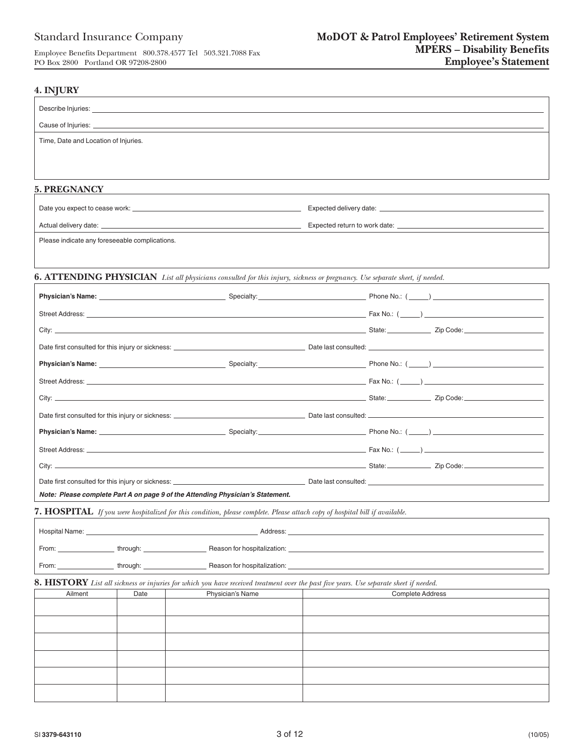| Cause of Injuries: et al. 2010 and 2010 and 2010 and 2010 and 2010 and 2010 and 2010 and 2010 and 2010 and 201                                                                                                                      |                                                                                                      |
|-------------------------------------------------------------------------------------------------------------------------------------------------------------------------------------------------------------------------------------|------------------------------------------------------------------------------------------------------|
| Time, Date and Location of Injuries.                                                                                                                                                                                                |                                                                                                      |
|                                                                                                                                                                                                                                     |                                                                                                      |
| <b>5. PREGNANCY</b>                                                                                                                                                                                                                 |                                                                                                      |
|                                                                                                                                                                                                                                     |                                                                                                      |
|                                                                                                                                                                                                                                     |                                                                                                      |
| Please indicate any foreseeable complications.                                                                                                                                                                                      |                                                                                                      |
|                                                                                                                                                                                                                                     |                                                                                                      |
| 6. ATTENDING PHYSICIAN List all physicians consulted for this injury, sickness or pregnancy. Use separate sheet, if needed.                                                                                                         |                                                                                                      |
| Physician's Name: <u>Contract Communication</u> Specialty: Contract Communication Phone No.: (Communication Phone No.: (Communication Phone No.: (Communication Phone No.: (Communication Phone No.: (Communication Phone No.: (Com |                                                                                                      |
|                                                                                                                                                                                                                                     |                                                                                                      |
|                                                                                                                                                                                                                                     |                                                                                                      |
|                                                                                                                                                                                                                                     |                                                                                                      |
| Physician's Name: <u>Contract Communication</u> Specialty: Contract Communication Phone No.: (Communication Phone No.: (Communication Phone No.: (Communication Phone No.: (Communication Phone No.: (Communication Phone No.: (Com |                                                                                                      |
|                                                                                                                                                                                                                                     |                                                                                                      |
|                                                                                                                                                                                                                                     |                                                                                                      |
|                                                                                                                                                                                                                                     |                                                                                                      |
| Physician's Name: <b>Example 2018</b> Contact Contact Contact Contact Contact Contact Contact Contact Contact Contact Contact Contact Contact Contact Contact Contact Contact Contact Contact Contact Contact Contact Contact Cont  |                                                                                                      |
|                                                                                                                                                                                                                                     |                                                                                                      |
|                                                                                                                                                                                                                                     |                                                                                                      |
|                                                                                                                                                                                                                                     |                                                                                                      |
| Note: Please complete Part A on page 9 of the Attending Physician's Statement.                                                                                                                                                      |                                                                                                      |
| 7. HOSPITAL If you were hospitalized for this condition, please complete. Please attach copy of hospital bill if available.                                                                                                         |                                                                                                      |
| Hospital Name: <u>Department of the Contractor</u> Contractor Contractor Contractor Contractor Contractor Contractor                                                                                                                | Address: Address: Address: Address: Address: Address: Address: Address: Address: Address: Address: A |
| From: The contract of the contract of the contract of the contract of the contract of the contract of the contract of the contract of the contract of the contract of the contract of the contract of the contract of the cont      |                                                                                                      |
| through: <b>https://www.francellefacturers/information</b> Reason for hospitalization:<br>From:                                                                                                                                     |                                                                                                      |
|                                                                                                                                                                                                                                     |                                                                                                      |
|                                                                                                                                                                                                                                     |                                                                                                      |
| Date<br>Physician's Name<br>Ailment                                                                                                                                                                                                 | <b>Complete Address</b>                                                                              |
|                                                                                                                                                                                                                                     |                                                                                                      |
|                                                                                                                                                                                                                                     |                                                                                                      |
| <b>8. HISTORY</b> List all sickness or injuries for which you have received treatment over the past five years. Use separate sheet if needed.                                                                                       |                                                                                                      |
|                                                                                                                                                                                                                                     |                                                                                                      |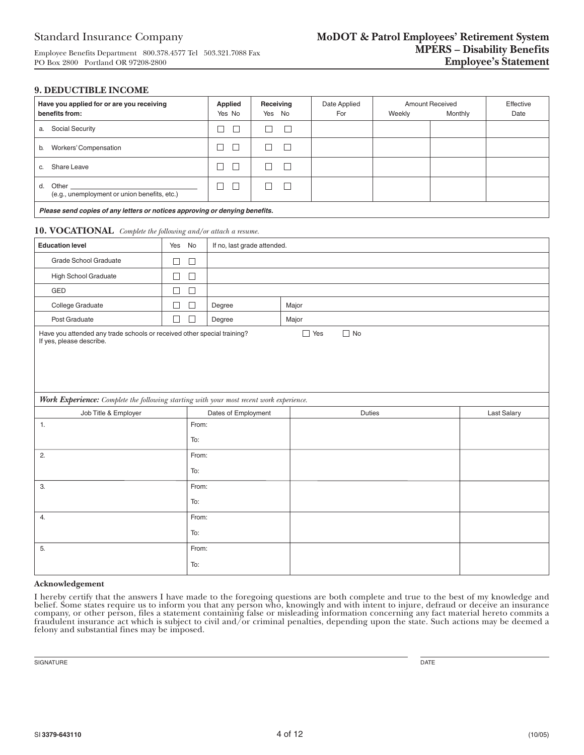#### **9. DEDUCTIBLE INCOME**

| Have you applied for or are you receiving<br>benefits from:                             |                          | <b>Applied</b><br>Yes No    | Receiving<br>Yes No |        | Date Applied<br>For | Weekly | Amount Received<br>Monthly | Effective<br>Date |
|-----------------------------------------------------------------------------------------|--------------------------|-----------------------------|---------------------|--------|---------------------|--------|----------------------------|-------------------|
| a. Social Security                                                                      |                          | $\Box$<br>П                 | □                   | $\Box$ |                     |        |                            |                   |
| $\Box$<br>$\Box$<br>$\Box$<br>b. Workers' Compensation                                  |                          |                             | $\Box$              |        |                     |        |                            |                   |
| $\Box$<br>$\Box$<br>$\Box$<br>c. Share Leave                                            |                          |                             | $\Box$              |        |                     |        |                            |                   |
| d. Other<br>(e.g., unemployment or union benefits, etc.)                                |                          | $\Box$<br>$\Box$            | $\Box$              | $\Box$ |                     |        |                            |                   |
| Please send copies of any letters or notices approving or denying benefits.             |                          |                             |                     |        |                     |        |                            |                   |
| 10. VOCATIONAL Complete the following and/or attach a resume.                           |                          |                             |                     |        |                     |        |                            |                   |
| <b>Education level</b>                                                                  | Yes No                   | If no, last grade attended. |                     |        |                     |        |                            |                   |
| Grade School Graduate                                                                   | □<br>□                   |                             |                     |        |                     |        |                            |                   |
| <b>High School Graduate</b>                                                             | $\Box$<br>$\Box$         |                             |                     |        |                     |        |                            |                   |
| GED                                                                                     | $\Box$<br>$\Box$         |                             |                     |        |                     |        |                            |                   |
| College Graduate                                                                        | □<br>□                   | Degree                      |                     | Major  |                     |        |                            |                   |
| Post Graduate                                                                           | $\Box$<br>П              | Degree                      |                     | Major  |                     |        |                            |                   |
| Work Experience: Complete the following starting with your most recent work experience. | If yes, please describe. |                             |                     |        |                     |        |                            |                   |
| Job Title & Employer                                                                    |                          | Dates of Employment         |                     |        | Duties              |        |                            | Last Salary       |
| 1.                                                                                      | From:                    |                             |                     |        |                     |        |                            |                   |
|                                                                                         | To:                      |                             |                     |        |                     |        |                            |                   |
| 2.                                                                                      | From:                    |                             |                     |        |                     |        |                            |                   |
|                                                                                         | To:                      |                             |                     |        |                     |        |                            |                   |
| 3.                                                                                      | From:                    |                             |                     |        |                     |        |                            |                   |
|                                                                                         | To:                      |                             |                     |        |                     |        |                            |                   |
| 4.                                                                                      | From:                    |                             |                     |        |                     |        |                            |                   |
|                                                                                         | To:                      |                             |                     |        |                     |        |                            |                   |
| 5.                                                                                      | From:                    |                             |                     |        |                     |        |                            |                   |
|                                                                                         | To:                      |                             |                     |        |                     |        |                            |                   |

#### **Acknowledgement**

I hereby certify that the answers I have made to the foregoing questions are both complete and true to the best of my knowledge and belief. Some states require us to inform you that any person who, knowingly and with inten belief. Some states require us to inform you that any person who, knowingly and with intent to injure, defraud or deceive an insurance<br>company, or other person, files a statement containing false or misleading information fraudulent insurance act which is subject to civil and/or criminal penalties, depending upon the state. Such actions may be deemed a felony and substantial fines may be imposed.

SIGNATURE DATE DESCRIPTION OF SERVICES AND LOCAL CONTRACTOR OF SERVICES AND DRIVE DATE DATE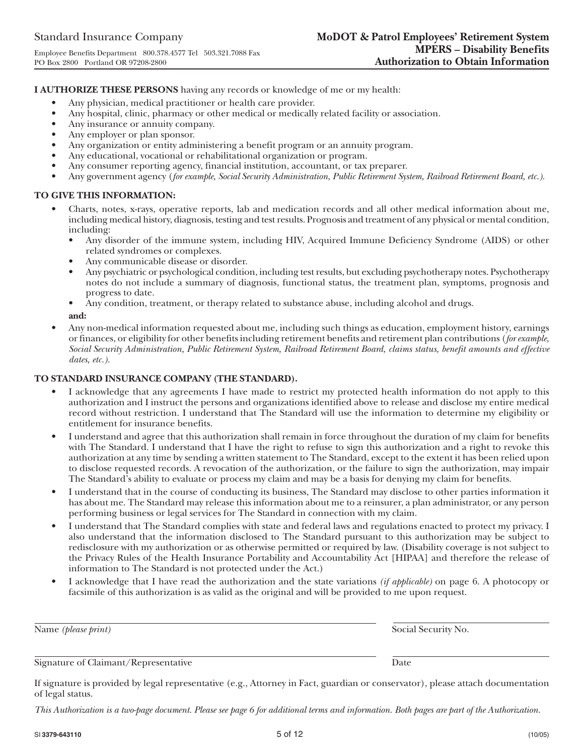**I AUTHORIZE THESE PERSONS** having any records or knowledge of me or my health:

- Any physician, medical practitioner or health care provider.
- Any hospital, clinic, pharmacy or other medical or medically related facility or association.
- Any insurance or annuity company.
- Any employer or plan sponsor.
- Any organization or entity administering a benefit program or an annuity program.
- Any educational, vocational or rehabilitational organization or program.
- Any consumer reporting agency, financial institution, accountant, or tax preparer.
- Any government agency (*for example, Social Security Administration, Public Retirement System, Railroad Retirement Board, etc.).*

## **TO GIVE THIS INFORMATION:**

- Charts, notes, x-rays, operative reports, lab and medication records and all other medical information about me, including medical history, diagnosis, testing and test results. Prognosis and treatment of any physical or mental condition, including:
	- Any disorder of the immune system, including HIV, Acquired Immune Deficiency Syndrome (AIDS) or other related syndromes or complexes.
	- Any communicable disease or disorder.
	- Any psychiatric or psychological condition, including test results, but excluding psychotherapy notes. Psychotherapy notes do not include a summary of diagnosis, functional status, the treatment plan, symptoms, prognosis and progress to date.
	- Any condition, treatment, or therapy related to substance abuse, including alcohol and drugs.

**and:**

• Any non-medical information requested about me, including such things as education, employment history, earnings or finances, or eligibility for other benefits including retirement benefits and retirement plan contributions (*for example, Social Security Administration, Public Retirement System, Railroad Retirement Board, claims status, benefit amounts and effective dates, etc.).*

## **TO STANDARD INSURANCE COMPANY (THE STANDARD).**

- I acknowledge that any agreements I have made to restrict my protected health information do not apply to this authorization and I instruct the persons and organizations identified above to release and disclose my entire medical record without restriction. I understand that The Standard will use the information to determine my eligibility or entitlement for insurance benefits.
- I understand and agree that this authorization shall remain in force throughout the duration of my claim for benefits with The Standard. I understand that I have the right to refuse to sign this authorization and a right to revoke this authorization at any time by sending a written statement to The Standard, except to the extent it has been relied upon to disclose requested records. A revocation of the authorization, or the failure to sign the authorization, may impair The Standard's ability to evaluate or process my claim and may be a basis for denying my claim for benefits.
- I understand that in the course of conducting its business, The Standard may disclose to other parties information it has about me. The Standard may release this information about me to a reinsurer, a plan administrator, or any person performing business or legal services for The Standard in connection with my claim.
- I understand that The Standard complies with state and federal laws and regulations enacted to protect my privacy. I also understand that the information disclosed to The Standard pursuant to this authorization may be subject to redisclosure with my authorization or as otherwise permitted or required by law. (Disability coverage is not subject to the Privacy Rules of the Health Insurance Portability and Accountability Act [HIPAA] and therefore the release of information to The Standard is not protected under the Act.)
- I acknowledge that I have read the authorization and the state variations *(if applicable)* on page 6. A photocopy or facsimile of this authorization is as valid as the original and will be provided to me upon request.

Name *(please print)* Social Security No.

Signature of Claimant/Representative Date

If signature is provided by legal representative (e.g., Attorney in Fact, guardian or conservator), please attach documentation of legal status.

*This Authorization is a two-page document. Please see page 6 for additional terms and information. Both pages are part of the Authorization.*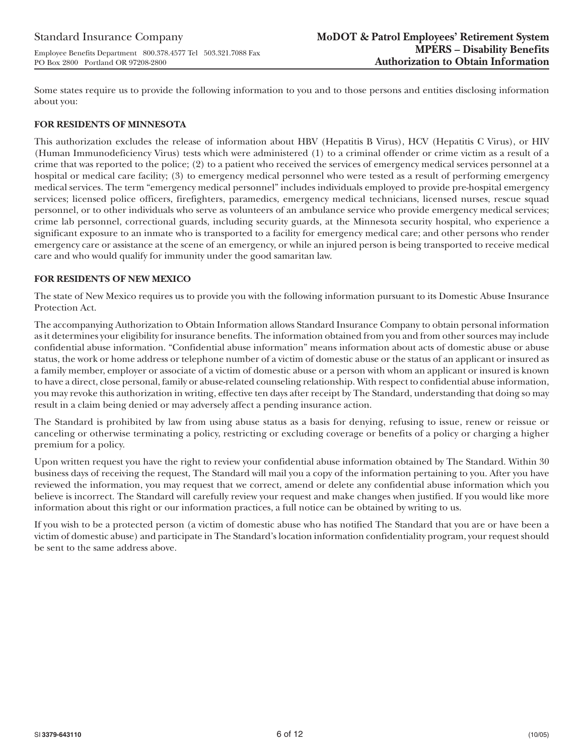Some states require us to provide the following information to you and to those persons and entities disclosing information about you:

## **FOR RESIDENTS OF MINNESOTA**

PO Box 2800 Portland OR 97208-2800

This authorization excludes the release of information about HBV (Hepatitis B Virus), HCV (Hepatitis C Virus), or HIV (Human Immunodeficiency Virus) tests which were administered (1) to a criminal offender or crime victim as a result of a crime that was reported to the police; (2) to a patient who received the services of emergency medical services personnel at a hospital or medical care facility; (3) to emergency medical personnel who were tested as a result of performing emergency medical services. The term "emergency medical personnel" includes individuals employed to provide pre-hospital emergency services; licensed police officers, firefighters, paramedics, emergency medical technicians, licensed nurses, rescue squad personnel, or to other individuals who serve as volunteers of an ambulance service who provide emergency medical services; crime lab personnel, correctional guards, including security guards, at the Minnesota security hospital, who experience a significant exposure to an inmate who is transported to a facility for emergency medical care; and other persons who render emergency care or assistance at the scene of an emergency, or while an injured person is being transported to receive medical care and who would qualify for immunity under the good samaritan law.

## **FOR RESIDENTS OF NEW MEXICO**

The state of New Mexico requires us to provide you with the following information pursuant to its Domestic Abuse Insurance Protection Act.

The accompanying Authorization to Obtain Information allows Standard Insurance Company to obtain personal information as it determines your eligibility for insurance benefits. The information obtained from you and from other sources may include confidential abuse information. "Confidential abuse information" means information about acts of domestic abuse or abuse status, the work or home address or telephone number of a victim of domestic abuse or the status of an applicant or insured as a family member, employer or associate of a victim of domestic abuse or a person with whom an applicant or insured is known to have a direct, close personal, family or abuse-related counseling relationship. With respect to confidential abuse information, you may revoke this authorization in writing, effective ten days after receipt by The Standard, understanding that doing so may result in a claim being denied or may adversely affect a pending insurance action.

The Standard is prohibited by law from using abuse status as a basis for denying, refusing to issue, renew or reissue or canceling or otherwise terminating a policy, restricting or excluding coverage or benefits of a policy or charging a higher premium for a policy.

Upon written request you have the right to review your confidential abuse information obtained by The Standard. Within 30 business days of receiving the request, The Standard will mail you a copy of the information pertaining to you. After you have reviewed the information, you may request that we correct, amend or delete any confidential abuse information which you believe is incorrect. The Standard will carefully review your request and make changes when justified. If you would like more information about this right or our information practices, a full notice can be obtained by writing to us.

If you wish to be a protected person (a victim of domestic abuse who has notified The Standard that you are or have been a victim of domestic abuse) and participate in The Standard's location information confidentiality program, your request should be sent to the same address above.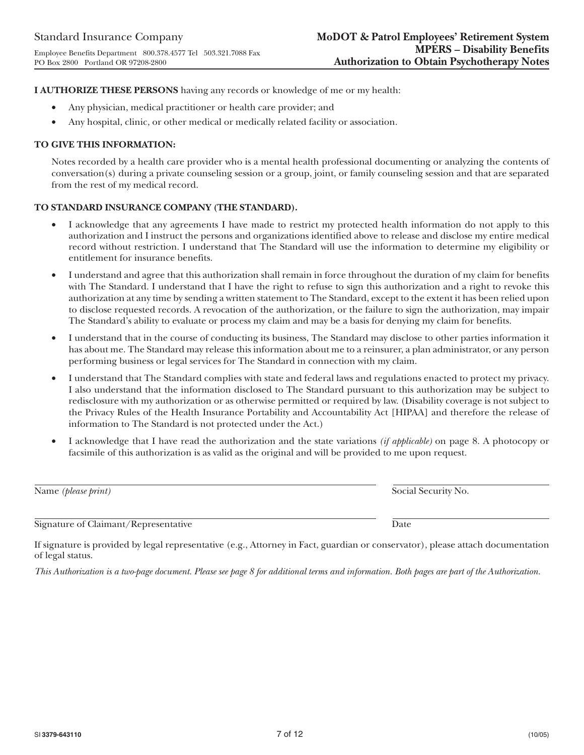**I AUTHORIZE THESE PERSONS** having any records or knowledge of me or my health:

- Any physician, medical practitioner or health care provider; and
- Any hospital, clinic, or other medical or medically related facility or association.

## **TO GIVE THIS INFORMATION:**

Notes recorded by a health care provider who is a mental health professional documenting or analyzing the contents of conversation(s) during a private counseling session or a group, joint, or family counseling session and that are separated from the rest of my medical record.

## **TO STANDARD INSURANCE COMPANY (THE STANDARD).**

- I acknowledge that any agreements I have made to restrict my protected health information do not apply to this authorization and I instruct the persons and organizations identified above to release and disclose my entire medical record without restriction. I understand that The Standard will use the information to determine my eligibility or entitlement for insurance benefits.
- I understand and agree that this authorization shall remain in force throughout the duration of my claim for benefits with The Standard. I understand that I have the right to refuse to sign this authorization and a right to revoke this authorization at any time by sending a written statement to The Standard, except to the extent it has been relied upon to disclose requested records. A revocation of the authorization, or the failure to sign the authorization, may impair The Standard's ability to evaluate or process my claim and may be a basis for denying my claim for benefits.
- I understand that in the course of conducting its business, The Standard may disclose to other parties information it has about me. The Standard may release this information about me to a reinsurer, a plan administrator, or any person performing business or legal services for The Standard in connection with my claim.
- I understand that The Standard complies with state and federal laws and regulations enacted to protect my privacy. I also understand that the information disclosed to The Standard pursuant to this authorization may be subject to redisclosure with my authorization or as otherwise permitted or required by law. (Disability coverage is not subject to the Privacy Rules of the Health Insurance Portability and Accountability Act [HIPAA] and therefore the release of information to The Standard is not protected under the Act.)
- I acknowledge that I have read the authorization and the state variations *(if applicable)* on page 8. A photocopy or facsimile of this authorization is as valid as the original and will be provided to me upon request.

| Name ( <i>please print</i> )         | Social Security No. |
|--------------------------------------|---------------------|
| Signature of Claimant/Representative | Date                |
|                                      |                     |

If signature is provided by legal representative (e.g., Attorney in Fact, guardian or conservator), please attach documentation of legal status.

*This Authorization is a two-page document. Please see page 8 for additional terms and information. Both pages are part of the Authorization.*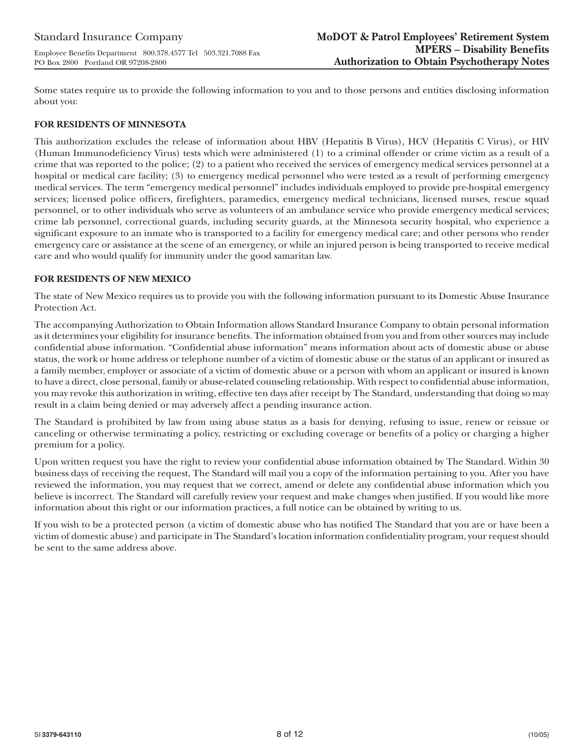Some states require us to provide the following information to you and to those persons and entities disclosing information about you:

## **FOR RESIDENTS OF MINNESOTA**

This authorization excludes the release of information about HBV (Hepatitis B Virus), HCV (Hepatitis C Virus), or HIV (Human Immunodeficiency Virus) tests which were administered (1) to a criminal offender or crime victim as a result of a crime that was reported to the police; (2) to a patient who received the services of emergency medical services personnel at a hospital or medical care facility; (3) to emergency medical personnel who were tested as a result of performing emergency medical services. The term "emergency medical personnel" includes individuals employed to provide pre-hospital emergency services; licensed police officers, firefighters, paramedics, emergency medical technicians, licensed nurses, rescue squad personnel, or to other individuals who serve as volunteers of an ambulance service who provide emergency medical services; crime lab personnel, correctional guards, including security guards, at the Minnesota security hospital, who experience a significant exposure to an inmate who is transported to a facility for emergency medical care; and other persons who render emergency care or assistance at the scene of an emergency, or while an injured person is being transported to receive medical care and who would qualify for immunity under the good samaritan law.

## **FOR RESIDENTS OF NEW MEXICO**

The state of New Mexico requires us to provide you with the following information pursuant to its Domestic Abuse Insurance Protection Act.

The accompanying Authorization to Obtain Information allows Standard Insurance Company to obtain personal information as it determines your eligibility for insurance benefits. The information obtained from you and from other sources may include confidential abuse information. "Confidential abuse information" means information about acts of domestic abuse or abuse status, the work or home address or telephone number of a victim of domestic abuse or the status of an applicant or insured as a family member, employer or associate of a victim of domestic abuse or a person with whom an applicant or insured is known to have a direct, close personal, family or abuse-related counseling relationship. With respect to confidential abuse information, you may revoke this authorization in writing, effective ten days after receipt by The Standard, understanding that doing so may result in a claim being denied or may adversely affect a pending insurance action.

The Standard is prohibited by law from using abuse status as a basis for denying, refusing to issue, renew or reissue or canceling or otherwise terminating a policy, restricting or excluding coverage or benefits of a policy or charging a higher premium for a policy.

Upon written request you have the right to review your confidential abuse information obtained by The Standard. Within 30 business days of receiving the request, The Standard will mail you a copy of the information pertaining to you. After you have reviewed the information, you may request that we correct, amend or delete any confidential abuse information which you believe is incorrect. The Standard will carefully review your request and make changes when justified. If you would like more information about this right or our information practices, a full notice can be obtained by writing to us.

If you wish to be a protected person (a victim of domestic abuse who has notified The Standard that you are or have been a victim of domestic abuse) and participate in The Standard's location information confidentiality program, your request should be sent to the same address above.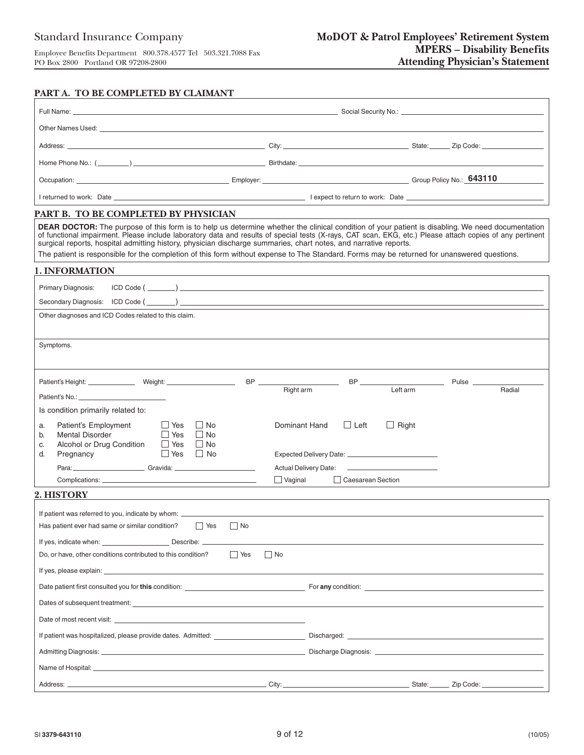## **PART A. TO BE COMPLETED BY CLAIMANT**

| Other Names Used: Names and Secretary and Secretary and Secretary and Secretary and Secretary and Secretary and Secretary and Secretary and Secretary and Secretary and Secretary and Secretary and Secretary and Secretary an |                                                                                                                                                                                                                                                                                                                                                                                                                                                                     |
|--------------------------------------------------------------------------------------------------------------------------------------------------------------------------------------------------------------------------------|---------------------------------------------------------------------------------------------------------------------------------------------------------------------------------------------------------------------------------------------------------------------------------------------------------------------------------------------------------------------------------------------------------------------------------------------------------------------|
|                                                                                                                                                                                                                                |                                                                                                                                                                                                                                                                                                                                                                                                                                                                     |
|                                                                                                                                                                                                                                |                                                                                                                                                                                                                                                                                                                                                                                                                                                                     |
|                                                                                                                                                                                                                                | Occupation: Comparison: Comparison: Comparison: Comparison: Comparison: Comparison: Comparison: Comparison: COMPONICY No.: COMPONICY No.: COMPONICY No.: COMPONICY No.: COMPONICY No.: COMPONICY No.: COMPONICY No.: COMPONICY                                                                                                                                                                                                                                      |
|                                                                                                                                                                                                                                | The property of the control of the control of the control of the control of the control of the control of the control of the control of the control of the control of the control of the control of the control of the control                                                                                                                                                                                                                                      |
| PART B. TO BE COMPLETED BY PHYSICIAN                                                                                                                                                                                           |                                                                                                                                                                                                                                                                                                                                                                                                                                                                     |
| surgical reports, hospital admitting history, physician discharge summaries, chart notes, and narrative reports.                                                                                                               | <b>DEAR DOCTOR:</b> The purpose of this form is to help us determine whether the clinical condition of your patient is disabling. We need documentation<br>of functional impairment. Please include laboratory data and results of special tests (X-rays, CAT scan, EKG, etc.) Please attach copies of any pertinent<br>The patient is responsible for the completion of this form without expense to The Standard. Forms may be returned for unanswered questions. |
| <b>1. INFORMATION</b>                                                                                                                                                                                                          |                                                                                                                                                                                                                                                                                                                                                                                                                                                                     |
| Primary Diagnosis:                                                                                                                                                                                                             |                                                                                                                                                                                                                                                                                                                                                                                                                                                                     |
|                                                                                                                                                                                                                                |                                                                                                                                                                                                                                                                                                                                                                                                                                                                     |
| Other diagnoses and ICD Codes related to this claim.                                                                                                                                                                           |                                                                                                                                                                                                                                                                                                                                                                                                                                                                     |
|                                                                                                                                                                                                                                |                                                                                                                                                                                                                                                                                                                                                                                                                                                                     |
| Symptoms.                                                                                                                                                                                                                      |                                                                                                                                                                                                                                                                                                                                                                                                                                                                     |
|                                                                                                                                                                                                                                |                                                                                                                                                                                                                                                                                                                                                                                                                                                                     |
|                                                                                                                                                                                                                                | $\overline{\phantom{a}}$ BP $\overline{\phantom{a}}$<br><b>Pulse</b> 2004<br>Right arm<br>Left arm<br>Radial                                                                                                                                                                                                                                                                                                                                                        |
| Is condition primarily related to:                                                                                                                                                                                             |                                                                                                                                                                                                                                                                                                                                                                                                                                                                     |
| Patient's Employment<br>$\Box$ Yes<br>l I No<br>a.<br><b>Mental Disorder</b><br><b>Yes</b><br>$\Box$ No<br>b.<br>$\Box$ No<br>Alcohol or Drug Condition<br>$\Box$ Yes<br>C.<br>$\Box$ Yes $\Box$ No<br>d.<br>Pregnancy         | Dominant Hand<br>$\Box$ Left<br>$\Box$ Right                                                                                                                                                                                                                                                                                                                                                                                                                        |
| Para: 2000 Cravida: 2000 Cravida: 2000 Cravida: 2000 Cravida: 2000 Cravida: 2000 Cravida: 2000 Cravida: 2000 C                                                                                                                 | <b>Actual Delivery Date:</b>                                                                                                                                                                                                                                                                                                                                                                                                                                        |
|                                                                                                                                                                                                                                | $\Box$ Vaginal<br>Caesarean Section                                                                                                                                                                                                                                                                                                                                                                                                                                 |
| 2. HISTORY                                                                                                                                                                                                                     |                                                                                                                                                                                                                                                                                                                                                                                                                                                                     |
| If patient was referred to you, indicate by whom: ______________________________                                                                                                                                               |                                                                                                                                                                                                                                                                                                                                                                                                                                                                     |
| Has patient ever had same or similar condition?<br>  Yes<br>$\vert$ No                                                                                                                                                         |                                                                                                                                                                                                                                                                                                                                                                                                                                                                     |
|                                                                                                                                                                                                                                |                                                                                                                                                                                                                                                                                                                                                                                                                                                                     |
| <b>Nes</b><br>Do, or have, other conditions contributed to this condition?                                                                                                                                                     | $\Box$ No                                                                                                                                                                                                                                                                                                                                                                                                                                                           |
|                                                                                                                                                                                                                                |                                                                                                                                                                                                                                                                                                                                                                                                                                                                     |
|                                                                                                                                                                                                                                |                                                                                                                                                                                                                                                                                                                                                                                                                                                                     |
| Dates of subsequent treatment: example of the state of subsequent treatment:                                                                                                                                                   |                                                                                                                                                                                                                                                                                                                                                                                                                                                                     |
|                                                                                                                                                                                                                                |                                                                                                                                                                                                                                                                                                                                                                                                                                                                     |
|                                                                                                                                                                                                                                |                                                                                                                                                                                                                                                                                                                                                                                                                                                                     |
|                                                                                                                                                                                                                                |                                                                                                                                                                                                                                                                                                                                                                                                                                                                     |
|                                                                                                                                                                                                                                |                                                                                                                                                                                                                                                                                                                                                                                                                                                                     |
|                                                                                                                                                                                                                                |                                                                                                                                                                                                                                                                                                                                                                                                                                                                     |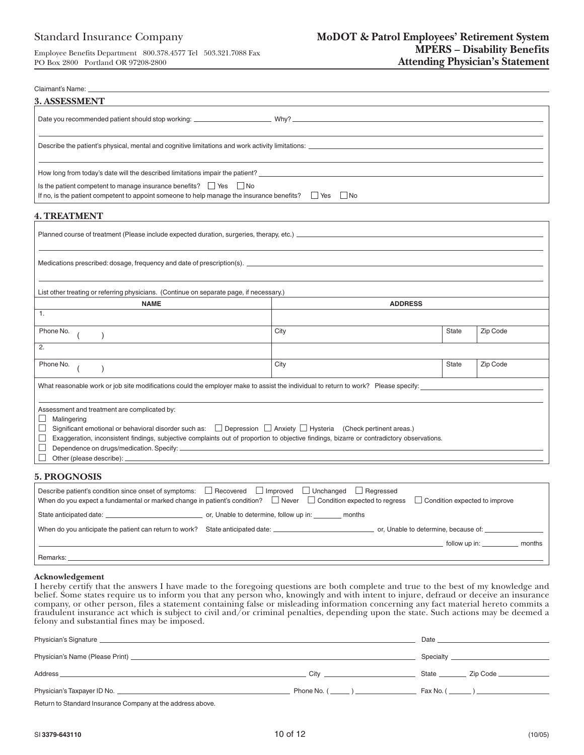| Claimant's Name:                                                                                                                                                                                                                                                                                                                                                                                          |                                                                                                                                    |              |          |  |  |  |  |
|-----------------------------------------------------------------------------------------------------------------------------------------------------------------------------------------------------------------------------------------------------------------------------------------------------------------------------------------------------------------------------------------------------------|------------------------------------------------------------------------------------------------------------------------------------|--------------|----------|--|--|--|--|
| 3. ASSESSMENT                                                                                                                                                                                                                                                                                                                                                                                             |                                                                                                                                    |              |          |  |  |  |  |
|                                                                                                                                                                                                                                                                                                                                                                                                           |                                                                                                                                    |              |          |  |  |  |  |
|                                                                                                                                                                                                                                                                                                                                                                                                           |                                                                                                                                    |              |          |  |  |  |  |
|                                                                                                                                                                                                                                                                                                                                                                                                           |                                                                                                                                    |              |          |  |  |  |  |
| Is the patient competent to manage insurance benefits?   Yes   No                                                                                                                                                                                                                                                                                                                                         | If no, is the patient competent to appoint someone to help manage the insurance benefits? $\Box$ Yes $\Box$ No                     |              |          |  |  |  |  |
| <b>4. TREATMENT</b>                                                                                                                                                                                                                                                                                                                                                                                       |                                                                                                                                    |              |          |  |  |  |  |
|                                                                                                                                                                                                                                                                                                                                                                                                           |                                                                                                                                    |              |          |  |  |  |  |
|                                                                                                                                                                                                                                                                                                                                                                                                           |                                                                                                                                    |              |          |  |  |  |  |
| List other treating or referring physicians. (Continue on separate page, if necessary.)                                                                                                                                                                                                                                                                                                                   |                                                                                                                                    |              |          |  |  |  |  |
| <b>NAME</b>                                                                                                                                                                                                                                                                                                                                                                                               | <b>ADDRESS</b>                                                                                                                     |              |          |  |  |  |  |
| 1.                                                                                                                                                                                                                                                                                                                                                                                                        |                                                                                                                                    |              |          |  |  |  |  |
| Phone No.                                                                                                                                                                                                                                                                                                                                                                                                 | City                                                                                                                               | <b>State</b> | Zip Code |  |  |  |  |
| 2.                                                                                                                                                                                                                                                                                                                                                                                                        |                                                                                                                                    |              |          |  |  |  |  |
| Phone No.                                                                                                                                                                                                                                                                                                                                                                                                 | City                                                                                                                               | <b>State</b> | Zip Code |  |  |  |  |
|                                                                                                                                                                                                                                                                                                                                                                                                           | What reasonable work or job site modifications could the employer make to assist the individual to return to work? Please specify: |              |          |  |  |  |  |
| Assessment and treatment are complicated by:<br>$\Box$<br>Malingering<br>Significant emotional or behavioral disorder such as: $\Box$ Depression $\Box$ Anxiety $\Box$ Hysteria (Check pertinent areas.)<br>⊔<br>□<br>Exaggeration, inconsistent findings, subjective complaints out of proportion to objective findings, bizarre or contradictory observations.<br>$\Box$<br>Other (please describe): __ |                                                                                                                                    |              |          |  |  |  |  |
| <b>5. PROGNOSIS</b>                                                                                                                                                                                                                                                                                                                                                                                       |                                                                                                                                    |              |          |  |  |  |  |
| Describe patient's condition since onset of symptoms: □ Recovered                                                                                                                                                                                                                                                                                                                                         | $\Box$ Improved<br>$\Box$ Unchanged<br>$\Box$ Regressed                                                                            |              |          |  |  |  |  |

| Describe patient's condition since onset of symptoms: $\Box$ Recovered $\Box$ Improved $\Box$ Unchanged $\Box$ Regressed<br>When do you expect a fundamental or marked change in patient's condition? $\Box$ Never $\Box$ Condition expected to regress<br>$\Box$ Condition expected to improve |
|-------------------------------------------------------------------------------------------------------------------------------------------------------------------------------------------------------------------------------------------------------------------------------------------------|
| or, Unable to determine, follow up in:<br>State anticipated date:<br>months                                                                                                                                                                                                                     |
| When do you anticipate the patient can return to work?<br>or, Unable to determine, because of: _                                                                                                                                                                                                |
| follow up in:<br>months                                                                                                                                                                                                                                                                         |
| Remarks:                                                                                                                                                                                                                                                                                        |

#### **Acknowledgement**

I hereby certify that the answers I have made to the foregoing questions are both complete and true to the best of my knowledge and belief. Some states require us to inform you that any person who, knowingly and with intent to injure, defraud or deceive an insurance company, or other person, files a statement containing false or misleading information concerning any fact material hereto commits a fraudulent insurance act which is subject to civil and/or criminal penalties, depending upon the state. Such actions may be deemed a felony and substantial fines may be imposed.

|                                                                      |                  | Date and the contract of the contract of the contract of the contract of the contract of the contract of the contract of the contract of the contract of the contract of the contract of the contract of the contract of the c |
|----------------------------------------------------------------------|------------------|--------------------------------------------------------------------------------------------------------------------------------------------------------------------------------------------------------------------------------|
|                                                                      |                  | <b>Specialty Specialty Specialty</b>                                                                                                                                                                                           |
| Address<br><u> 1989 - John Stone, amerikansk politiker (d. 1989)</u> | <b>City City</b> |                                                                                                                                                                                                                                |
|                                                                      | Phone No. ( )    | Fax No. $(\_\_)$                                                                                                                                                                                                               |
| Deturn to Ctondord Incurance Componies the oddress obous             |                  |                                                                                                                                                                                                                                |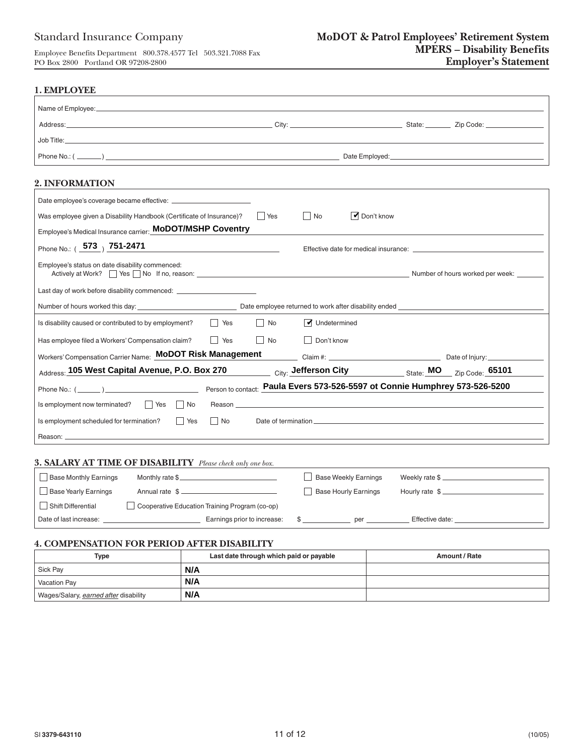# Standard Insurance Company

Employee Benefits Department 800.378.4577 Tel 503.321.7088 Fax PO Box 2800 Portland OR 97208-2800

| 1. EMPLOYEE                                                                                                                                                                                                                    |                             |                                                                             |                 |                |
|--------------------------------------------------------------------------------------------------------------------------------------------------------------------------------------------------------------------------------|-----------------------------|-----------------------------------------------------------------------------|-----------------|----------------|
| Name of Employee: example and the second contract of the second contract of the second contract of the second contract of the second contract of the second contract of the second contract of the second contract of the seco |                             |                                                                             |                 |                |
|                                                                                                                                                                                                                                |                             |                                                                             |                 |                |
|                                                                                                                                                                                                                                |                             |                                                                             |                 |                |
|                                                                                                                                                                                                                                |                             |                                                                             |                 |                |
|                                                                                                                                                                                                                                |                             |                                                                             |                 |                |
| <b>2. INFORMATION</b>                                                                                                                                                                                                          |                             |                                                                             |                 |                |
|                                                                                                                                                                                                                                |                             |                                                                             |                 |                |
| Was employee given a Disability Handbook (Certificate of Insurance)?                                                                                                                                                           | Yes                         | $\blacksquare$ Don't know<br>  No                                           |                 |                |
| Employee's Medical Insurance carrier: <b>MoDOT/MSHP Coventry</b>                                                                                                                                                               |                             |                                                                             |                 |                |
| Phone No.: (573) 751-2471                                                                                                                                                                                                      |                             |                                                                             |                 |                |
| Employee's status on date disability commenced:<br>Actively at Work? See Section 1989 No. If no, reason: Contract the Contract of the Contract of the Contract of Number of hours worked per week:                             |                             |                                                                             |                 |                |
| Last day of work before disability commenced: __________________________________                                                                                                                                               |                             |                                                                             |                 |                |
|                                                                                                                                                                                                                                |                             |                                                                             |                 |                |
| Is disability caused or contributed to by employment?                                                                                                                                                                          | No.<br>  Yes                | Undetermined                                                                |                 |                |
| Has employee filed a Workers' Compensation claim?                                                                                                                                                                              | $\Box$ Yes<br>$\Box$ No     | Don't know                                                                  |                 |                |
| Workers' Compensation Carrier Name: <b>MoDOT Risk Management</b> Claim #: Claim #: Claim #: Networkers' Compensation Carrier Name: Networker 2014                                                                              |                             |                                                                             |                 |                |
| Address: 105 West Capital Avenue, P.O. Box 270 City: Jefferson City State: MO Zip Code: 65101                                                                                                                                  |                             |                                                                             |                 |                |
| Phone No.: $(\_\_\_\_)$                                                                                                                                                                                                        |                             | Person to contact: Paula Evers 573-526-5597 ot Connie Humphrey 573-526-5200 |                 |                |
| Is employment now terminated? $\Box$ Yes $\Box$ No                                                                                                                                                                             | Reason                      |                                                                             |                 |                |
| $\Box$ Yes<br>Is employment scheduled for termination?                                                                                                                                                                         | $\Box$ No                   |                                                                             |                 |                |
| Reason: __                                                                                                                                                                                                                     |                             |                                                                             |                 |                |
|                                                                                                                                                                                                                                |                             |                                                                             |                 |                |
| <b>3. SALARY AT TIME OF DISABILITY</b> Please check only one box.                                                                                                                                                              |                             |                                                                             |                 |                |
| <b>Base Monthly Earnings</b><br>Monthly rate \$                                                                                                                                                                                |                             | <b>Base Weekly Earnings</b>                                                 |                 | Weekly rate \$ |
| Base Yearly Earnings<br>Annual rate \$                                                                                                                                                                                         |                             | <b>Base Hourly Earnings</b>                                                 |                 | Hourly rate \$ |
| Shift Differential<br>Cooperative Education Training Program (co-op)                                                                                                                                                           |                             |                                                                             |                 |                |
| Date of last increase:                                                                                                                                                                                                         | Earnings prior to increase: | \$<br>per                                                                   | Effective date: |                |

#### **4. COMPENSATION FOR PERIOD AFTER DISABILITY**

| Type                                  | Last date through which paid or payable | Amount / Rate |
|---------------------------------------|-----------------------------------------|---------------|
| Sick Pay                              | N/A                                     |               |
| <b>Vacation Pay</b>                   | N/A                                     |               |
| Wages/Salary, earned after disability | N/A                                     |               |